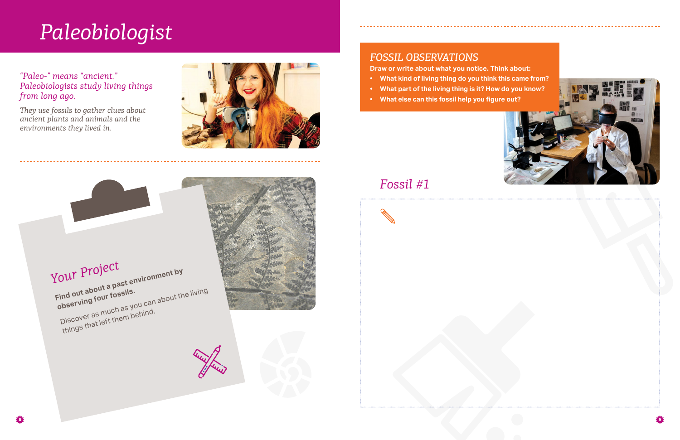#### *"Paleo-" means "ancient." Paleobiologists study living things from long ago.*

*They use fossils to gather clues about ancient plants and animals and the environments they lived in.*



# *Paleobiologist*

## *Fossil #1*







### *FOSSIL OBSERVATIONS*

**Draw or write about what you notice. Think about:**

- **• What kind of living thing do you think this came from?**
- **• What part of the living thing is it? How do you know?**
- **• What else can this fossil help you figure out?**